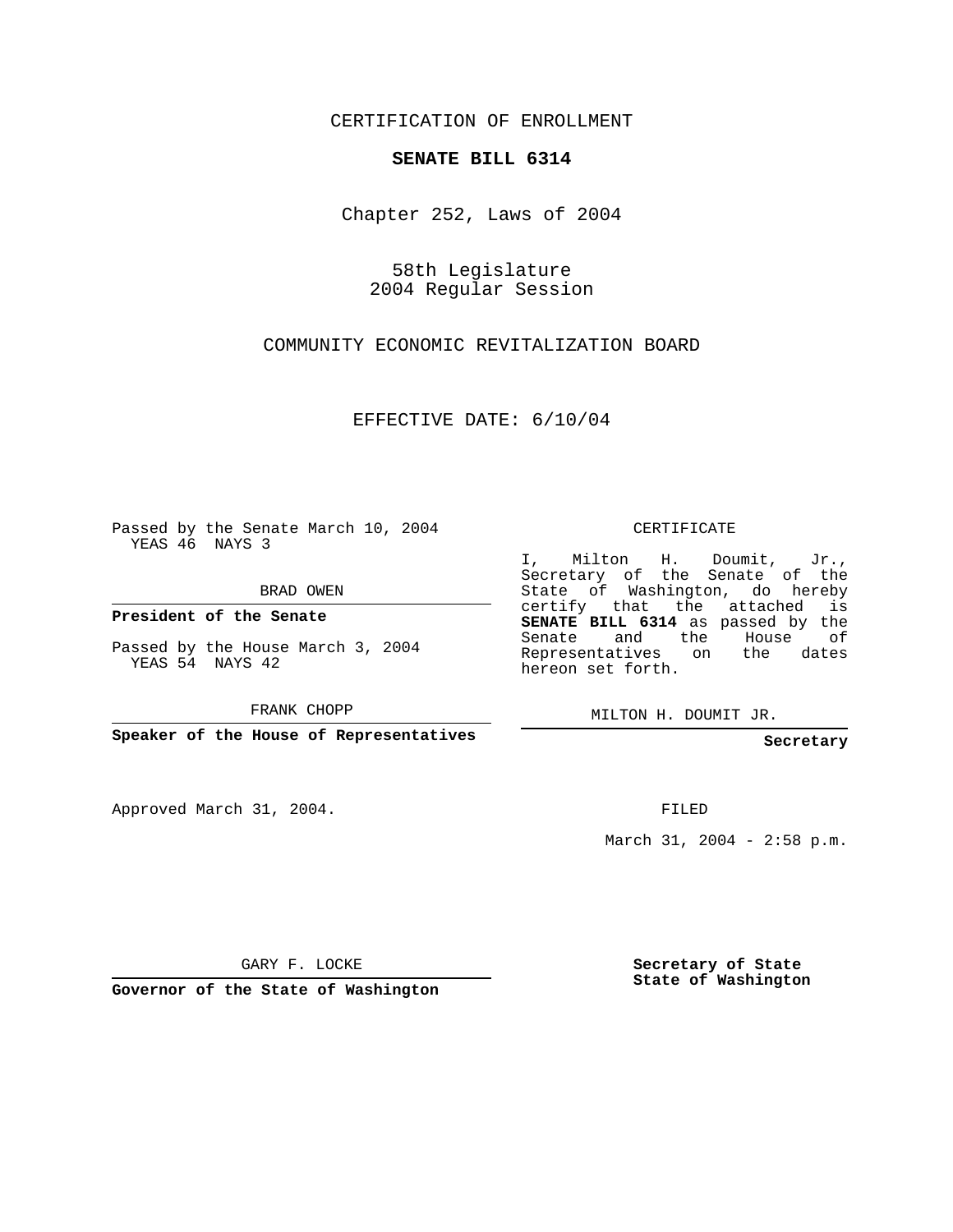CERTIFICATION OF ENROLLMENT

## **SENATE BILL 6314**

Chapter 252, Laws of 2004

58th Legislature 2004 Regular Session

COMMUNITY ECONOMIC REVITALIZATION BOARD

EFFECTIVE DATE: 6/10/04

Passed by the Senate March 10, 2004 YEAS 46 NAYS 3

BRAD OWEN

**President of the Senate**

Passed by the House March 3, 2004 YEAS 54 NAYS 42

FRANK CHOPP

**Speaker of the House of Representatives**

Approved March 31, 2004.

CERTIFICATE

I, Milton H. Doumit, Jr., Secretary of the Senate of the State of Washington, do hereby certify that the attached is **SENATE BILL 6314** as passed by the Senate and the House of Representatives on the dates hereon set forth.

MILTON H. DOUMIT JR.

**Secretary**

FILED

March 31, 2004 - 2:58 p.m.

GARY F. LOCKE

**Governor of the State of Washington**

**Secretary of State State of Washington**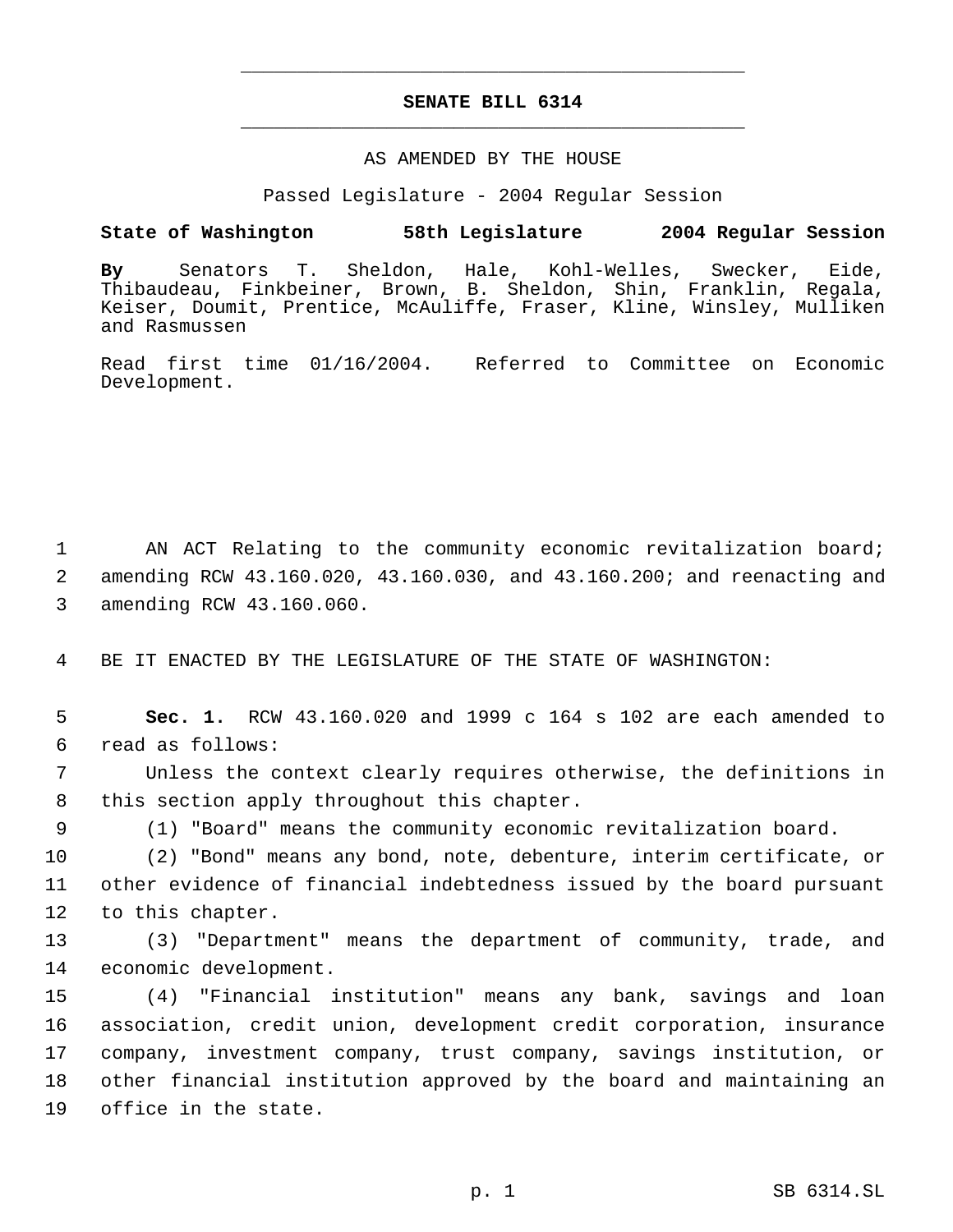## **SENATE BILL 6314** \_\_\_\_\_\_\_\_\_\_\_\_\_\_\_\_\_\_\_\_\_\_\_\_\_\_\_\_\_\_\_\_\_\_\_\_\_\_\_\_\_\_\_\_\_

\_\_\_\_\_\_\_\_\_\_\_\_\_\_\_\_\_\_\_\_\_\_\_\_\_\_\_\_\_\_\_\_\_\_\_\_\_\_\_\_\_\_\_\_\_

## AS AMENDED BY THE HOUSE

Passed Legislature - 2004 Regular Session

## **State of Washington 58th Legislature 2004 Regular Session**

**By** Senators T. Sheldon, Hale, Kohl-Welles, Swecker, Eide, Thibaudeau, Finkbeiner, Brown, B. Sheldon, Shin, Franklin, Regala, Keiser, Doumit, Prentice, McAuliffe, Fraser, Kline, Winsley, Mulliken and Rasmussen

Read first time 01/16/2004. Referred to Committee on Economic Development.

 1 AN ACT Relating to the community economic revitalization board; 2 amending RCW 43.160.020, 43.160.030, and 43.160.200; and reenacting and 3 amending RCW 43.160.060.

4 BE IT ENACTED BY THE LEGISLATURE OF THE STATE OF WASHINGTON:

 5 **Sec. 1.** RCW 43.160.020 and 1999 c 164 s 102 are each amended to 6 read as follows:

 7 Unless the context clearly requires otherwise, the definitions in 8 this section apply throughout this chapter.

9 (1) "Board" means the community economic revitalization board.

10 (2) "Bond" means any bond, note, debenture, interim certificate, or 11 other evidence of financial indebtedness issued by the board pursuant 12 to this chapter.

13 (3) "Department" means the department of community, trade, and 14 economic development.

 (4) "Financial institution" means any bank, savings and loan association, credit union, development credit corporation, insurance company, investment company, trust company, savings institution, or other financial institution approved by the board and maintaining an office in the state.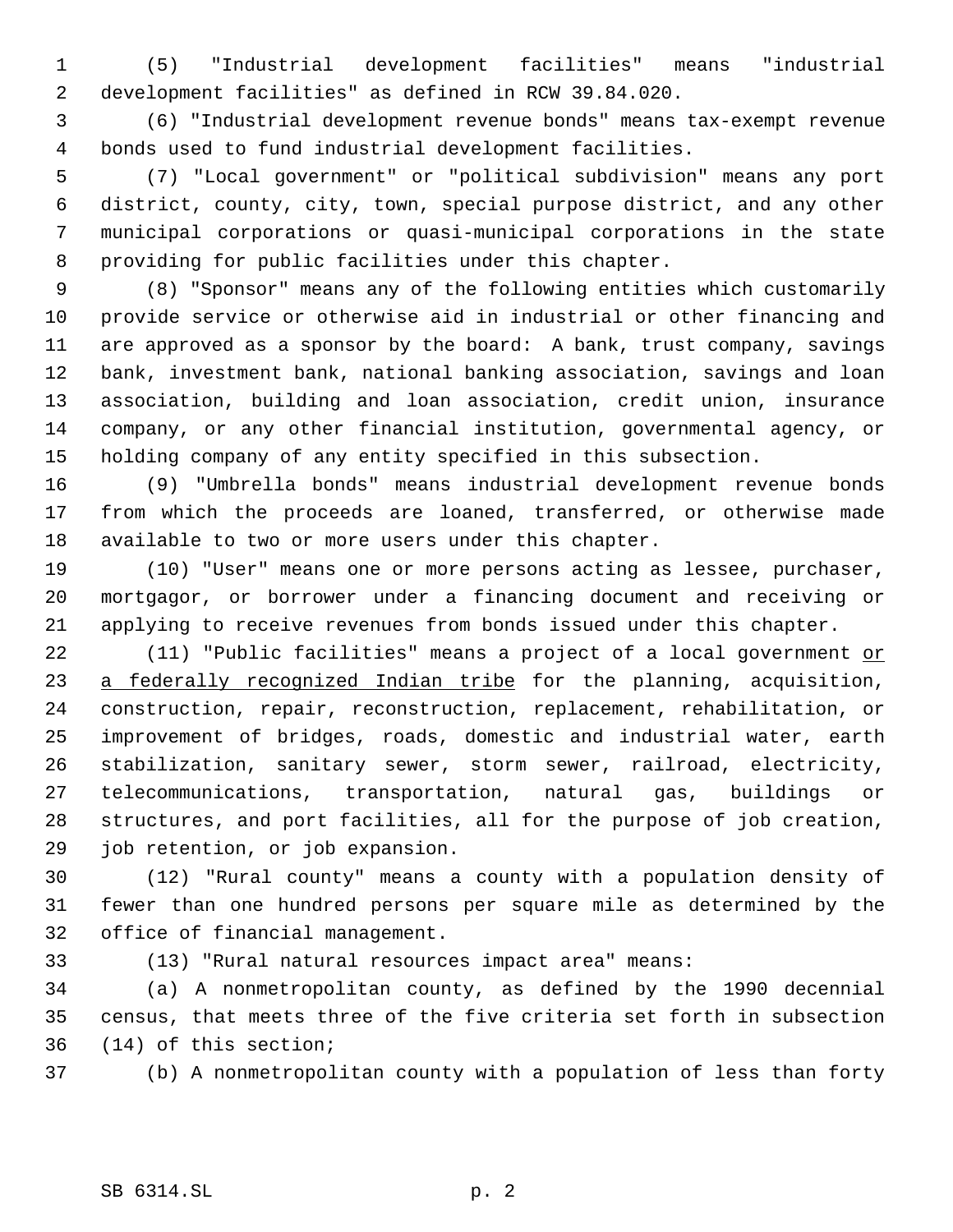(5) "Industrial development facilities" means "industrial development facilities" as defined in RCW 39.84.020.

 (6) "Industrial development revenue bonds" means tax-exempt revenue bonds used to fund industrial development facilities.

 (7) "Local government" or "political subdivision" means any port district, county, city, town, special purpose district, and any other municipal corporations or quasi-municipal corporations in the state providing for public facilities under this chapter.

 (8) "Sponsor" means any of the following entities which customarily provide service or otherwise aid in industrial or other financing and are approved as a sponsor by the board: A bank, trust company, savings bank, investment bank, national banking association, savings and loan association, building and loan association, credit union, insurance company, or any other financial institution, governmental agency, or holding company of any entity specified in this subsection.

 (9) "Umbrella bonds" means industrial development revenue bonds from which the proceeds are loaned, transferred, or otherwise made available to two or more users under this chapter.

 (10) "User" means one or more persons acting as lessee, purchaser, mortgagor, or borrower under a financing document and receiving or applying to receive revenues from bonds issued under this chapter.

22 (11) "Public facilities" means a project of a local government or 23 a federally recognized Indian tribe for the planning, acquisition, construction, repair, reconstruction, replacement, rehabilitation, or improvement of bridges, roads, domestic and industrial water, earth stabilization, sanitary sewer, storm sewer, railroad, electricity, telecommunications, transportation, natural gas, buildings or structures, and port facilities, all for the purpose of job creation, job retention, or job expansion.

 (12) "Rural county" means a county with a population density of fewer than one hundred persons per square mile as determined by the office of financial management.

(13) "Rural natural resources impact area" means:

 (a) A nonmetropolitan county, as defined by the 1990 decennial census, that meets three of the five criteria set forth in subsection (14) of this section;

(b) A nonmetropolitan county with a population of less than forty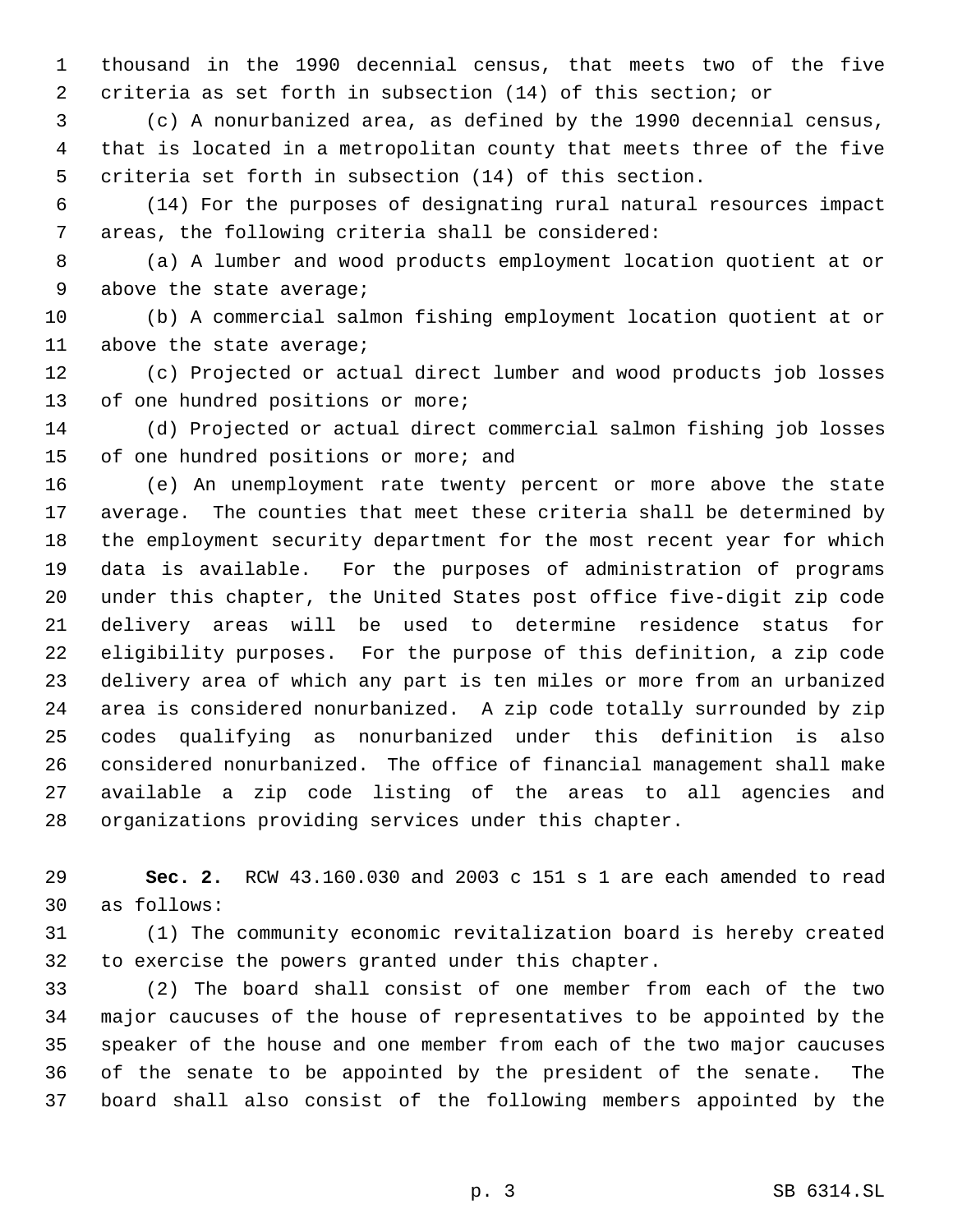thousand in the 1990 decennial census, that meets two of the five criteria as set forth in subsection (14) of this section; or

 (c) A nonurbanized area, as defined by the 1990 decennial census, that is located in a metropolitan county that meets three of the five criteria set forth in subsection (14) of this section.

 (14) For the purposes of designating rural natural resources impact areas, the following criteria shall be considered:

 (a) A lumber and wood products employment location quotient at or 9 above the state average;

 (b) A commercial salmon fishing employment location quotient at or above the state average;

 (c) Projected or actual direct lumber and wood products job losses 13 of one hundred positions or more;

 (d) Projected or actual direct commercial salmon fishing job losses of one hundred positions or more; and

 (e) An unemployment rate twenty percent or more above the state average. The counties that meet these criteria shall be determined by the employment security department for the most recent year for which data is available. For the purposes of administration of programs under this chapter, the United States post office five-digit zip code delivery areas will be used to determine residence status for eligibility purposes. For the purpose of this definition, a zip code delivery area of which any part is ten miles or more from an urbanized area is considered nonurbanized. A zip code totally surrounded by zip codes qualifying as nonurbanized under this definition is also considered nonurbanized. The office of financial management shall make available a zip code listing of the areas to all agencies and organizations providing services under this chapter.

 **Sec. 2.** RCW 43.160.030 and 2003 c 151 s 1 are each amended to read as follows:

 (1) The community economic revitalization board is hereby created to exercise the powers granted under this chapter.

 (2) The board shall consist of one member from each of the two major caucuses of the house of representatives to be appointed by the speaker of the house and one member from each of the two major caucuses of the senate to be appointed by the president of the senate. The board shall also consist of the following members appointed by the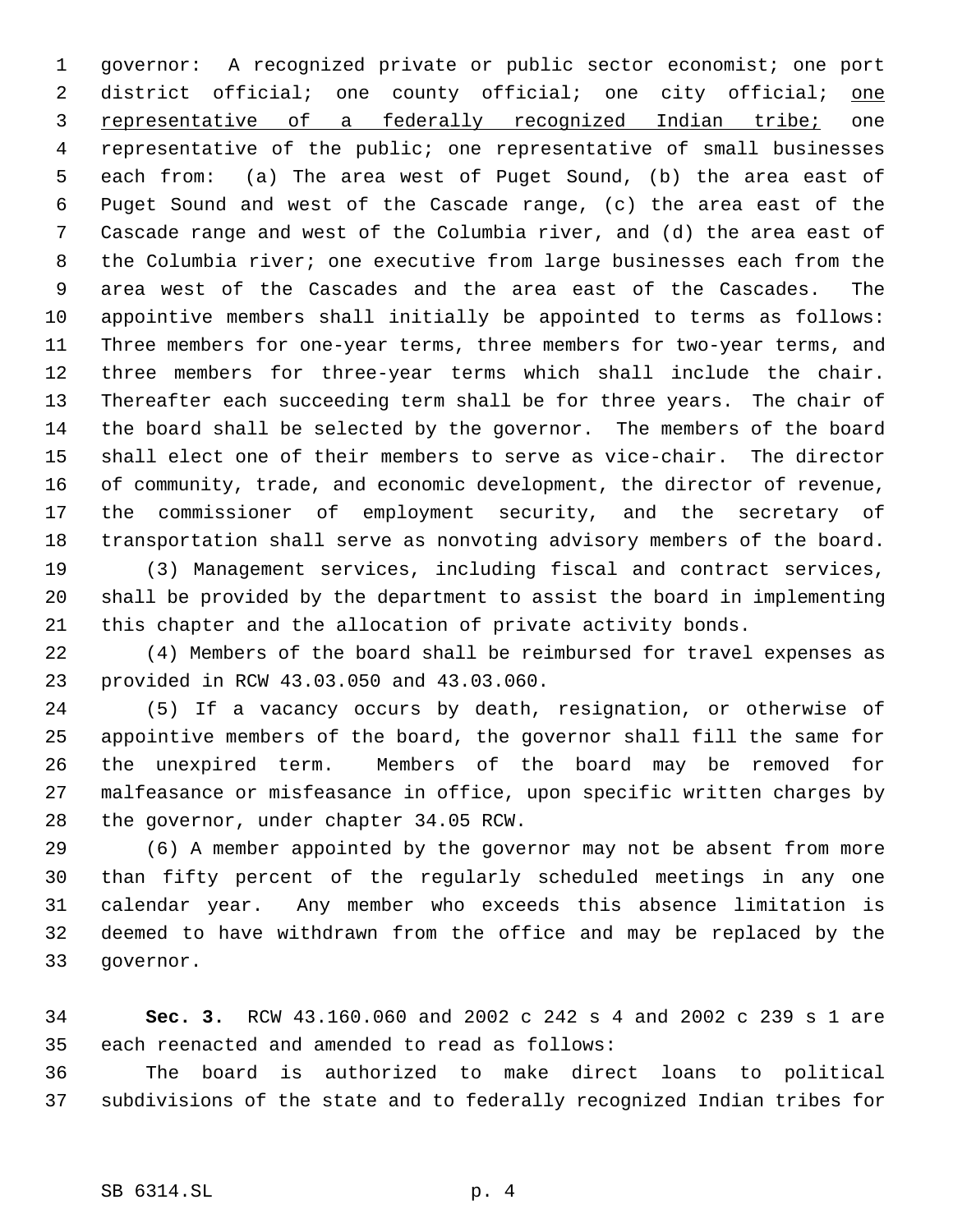governor: A recognized private or public sector economist; one port 2 district official; one county official; one city official; one 3 representative of a federally recognized Indian tribe; one representative of the public; one representative of small businesses each from: (a) The area west of Puget Sound, (b) the area east of Puget Sound and west of the Cascade range, (c) the area east of the Cascade range and west of the Columbia river, and (d) the area east of the Columbia river; one executive from large businesses each from the area west of the Cascades and the area east of the Cascades. The appointive members shall initially be appointed to terms as follows: Three members for one-year terms, three members for two-year terms, and three members for three-year terms which shall include the chair. Thereafter each succeeding term shall be for three years. The chair of the board shall be selected by the governor. The members of the board shall elect one of their members to serve as vice-chair. The director of community, trade, and economic development, the director of revenue, the commissioner of employment security, and the secretary of transportation shall serve as nonvoting advisory members of the board.

 (3) Management services, including fiscal and contract services, shall be provided by the department to assist the board in implementing this chapter and the allocation of private activity bonds.

 (4) Members of the board shall be reimbursed for travel expenses as provided in RCW 43.03.050 and 43.03.060.

 (5) If a vacancy occurs by death, resignation, or otherwise of appointive members of the board, the governor shall fill the same for the unexpired term. Members of the board may be removed for malfeasance or misfeasance in office, upon specific written charges by the governor, under chapter 34.05 RCW.

 (6) A member appointed by the governor may not be absent from more than fifty percent of the regularly scheduled meetings in any one calendar year. Any member who exceeds this absence limitation is deemed to have withdrawn from the office and may be replaced by the governor.

 **Sec. 3.** RCW 43.160.060 and 2002 c 242 s 4 and 2002 c 239 s 1 are each reenacted and amended to read as follows:

 The board is authorized to make direct loans to political subdivisions of the state and to federally recognized Indian tribes for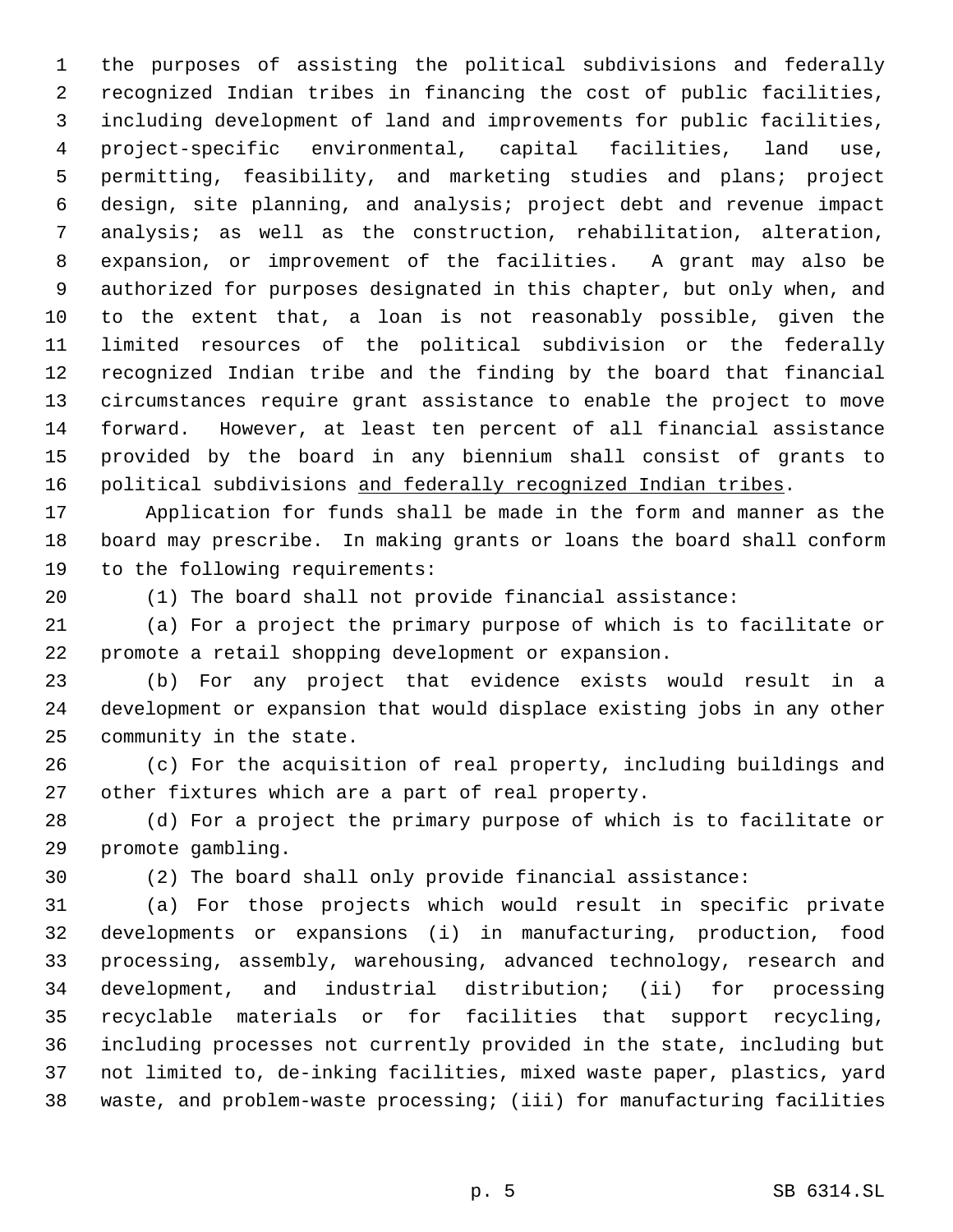the purposes of assisting the political subdivisions and federally recognized Indian tribes in financing the cost of public facilities, including development of land and improvements for public facilities, project-specific environmental, capital facilities, land use, permitting, feasibility, and marketing studies and plans; project design, site planning, and analysis; project debt and revenue impact analysis; as well as the construction, rehabilitation, alteration, expansion, or improvement of the facilities. A grant may also be authorized for purposes designated in this chapter, but only when, and to the extent that, a loan is not reasonably possible, given the limited resources of the political subdivision or the federally recognized Indian tribe and the finding by the board that financial circumstances require grant assistance to enable the project to move forward. However, at least ten percent of all financial assistance provided by the board in any biennium shall consist of grants to 16 political subdivisions and federally recognized Indian tribes.

 Application for funds shall be made in the form and manner as the board may prescribe. In making grants or loans the board shall conform to the following requirements:

(1) The board shall not provide financial assistance:

 (a) For a project the primary purpose of which is to facilitate or promote a retail shopping development or expansion.

 (b) For any project that evidence exists would result in a development or expansion that would displace existing jobs in any other community in the state.

 (c) For the acquisition of real property, including buildings and other fixtures which are a part of real property.

 (d) For a project the primary purpose of which is to facilitate or promote gambling.

(2) The board shall only provide financial assistance:

 (a) For those projects which would result in specific private developments or expansions (i) in manufacturing, production, food processing, assembly, warehousing, advanced technology, research and development, and industrial distribution; (ii) for processing recyclable materials or for facilities that support recycling, including processes not currently provided in the state, including but not limited to, de-inking facilities, mixed waste paper, plastics, yard waste, and problem-waste processing; (iii) for manufacturing facilities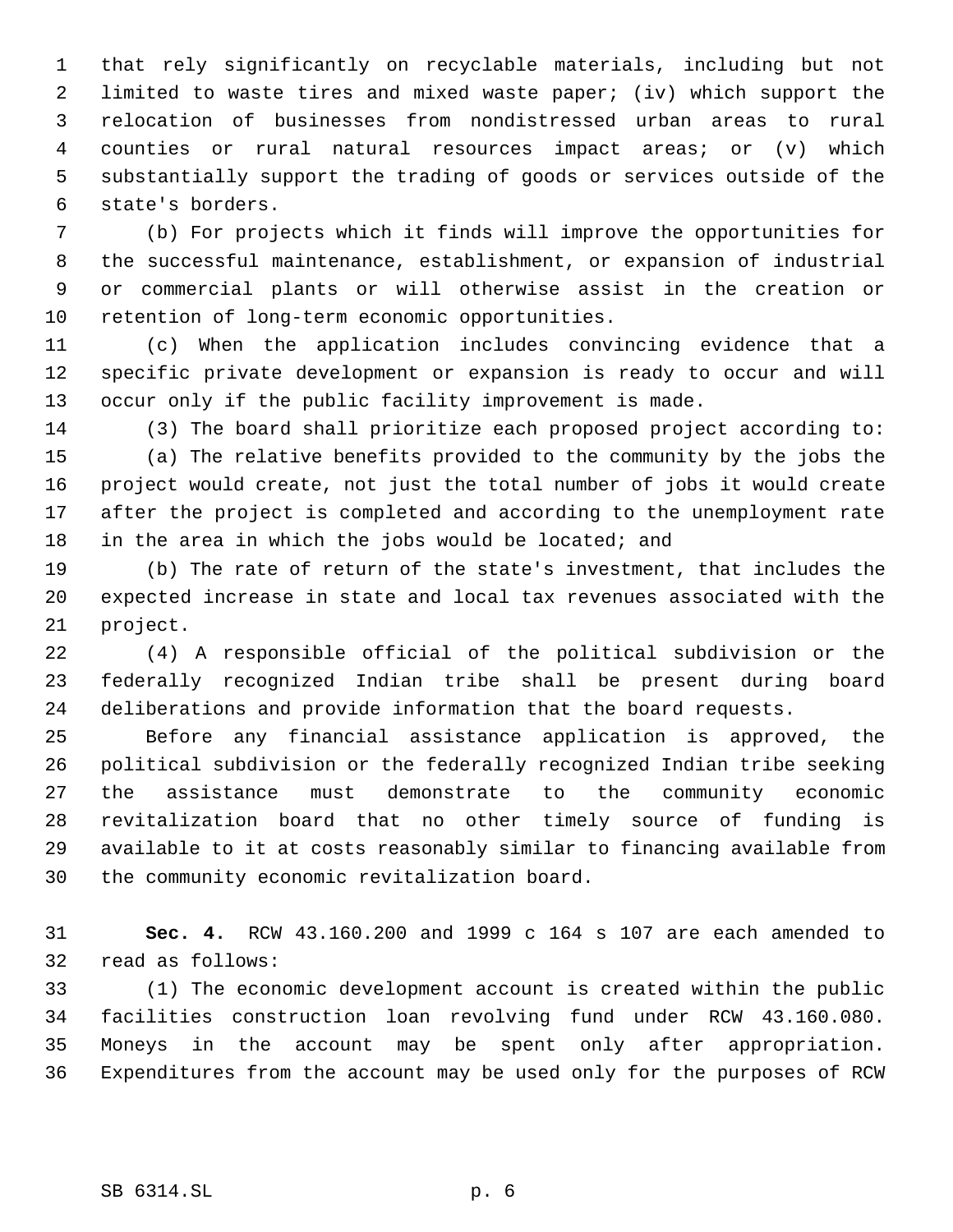that rely significantly on recyclable materials, including but not limited to waste tires and mixed waste paper; (iv) which support the relocation of businesses from nondistressed urban areas to rural counties or rural natural resources impact areas; or (v) which substantially support the trading of goods or services outside of the state's borders.

 (b) For projects which it finds will improve the opportunities for the successful maintenance, establishment, or expansion of industrial or commercial plants or will otherwise assist in the creation or retention of long-term economic opportunities.

 (c) When the application includes convincing evidence that a specific private development or expansion is ready to occur and will occur only if the public facility improvement is made.

 (3) The board shall prioritize each proposed project according to: (a) The relative benefits provided to the community by the jobs the project would create, not just the total number of jobs it would create after the project is completed and according to the unemployment rate in the area in which the jobs would be located; and

 (b) The rate of return of the state's investment, that includes the expected increase in state and local tax revenues associated with the project.

 (4) A responsible official of the political subdivision or the federally recognized Indian tribe shall be present during board deliberations and provide information that the board requests.

 Before any financial assistance application is approved, the political subdivision or the federally recognized Indian tribe seeking the assistance must demonstrate to the community economic revitalization board that no other timely source of funding is available to it at costs reasonably similar to financing available from the community economic revitalization board.

 **Sec. 4.** RCW 43.160.200 and 1999 c 164 s 107 are each amended to read as follows:

 (1) The economic development account is created within the public facilities construction loan revolving fund under RCW 43.160.080. Moneys in the account may be spent only after appropriation. Expenditures from the account may be used only for the purposes of RCW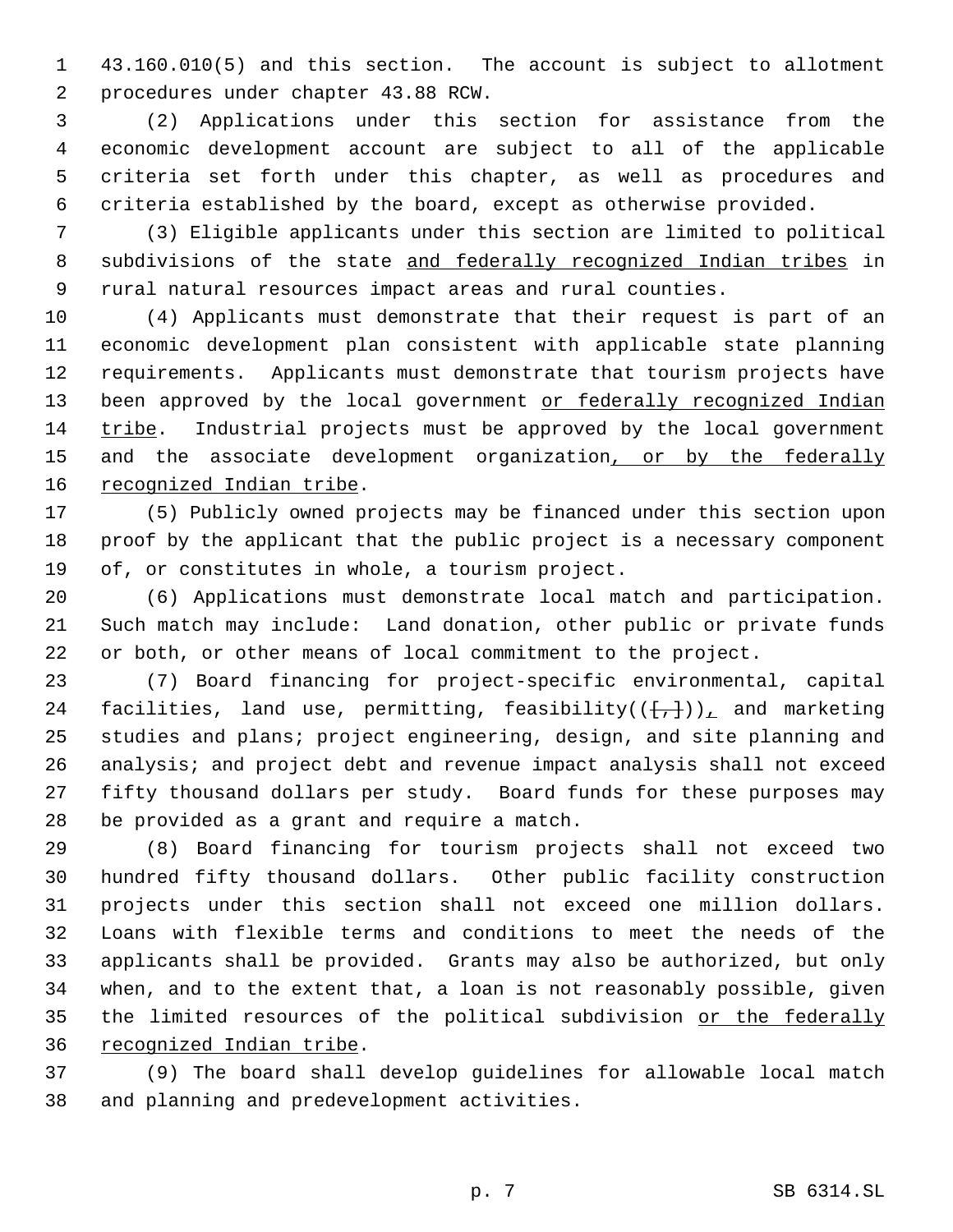43.160.010(5) and this section. The account is subject to allotment procedures under chapter 43.88 RCW.

 (2) Applications under this section for assistance from the economic development account are subject to all of the applicable criteria set forth under this chapter, as well as procedures and criteria established by the board, except as otherwise provided.

 (3) Eligible applicants under this section are limited to political 8 subdivisions of the state and federally recognized Indian tribes in rural natural resources impact areas and rural counties.

 (4) Applicants must demonstrate that their request is part of an economic development plan consistent with applicable state planning requirements. Applicants must demonstrate that tourism projects have 13 been approved by the local government or federally recognized Indian tribe. Industrial projects must be approved by the local government 15 and the associate development organization, or by the federally 16 recognized Indian tribe.

 (5) Publicly owned projects may be financed under this section upon proof by the applicant that the public project is a necessary component of, or constitutes in whole, a tourism project.

 (6) Applications must demonstrate local match and participation. Such match may include: Land donation, other public or private funds or both, or other means of local commitment to the project.

 (7) Board financing for project-specific environmental, capital 24 facilities, land use, permitting, feasibility( $(\{+, \})_{\perp}$  and marketing studies and plans; project engineering, design, and site planning and analysis; and project debt and revenue impact analysis shall not exceed fifty thousand dollars per study. Board funds for these purposes may be provided as a grant and require a match.

 (8) Board financing for tourism projects shall not exceed two hundred fifty thousand dollars. Other public facility construction projects under this section shall not exceed one million dollars. Loans with flexible terms and conditions to meet the needs of the applicants shall be provided. Grants may also be authorized, but only when, and to the extent that, a loan is not reasonably possible, given 35 the limited resources of the political subdivision or the federally recognized Indian tribe.

 (9) The board shall develop guidelines for allowable local match and planning and predevelopment activities.